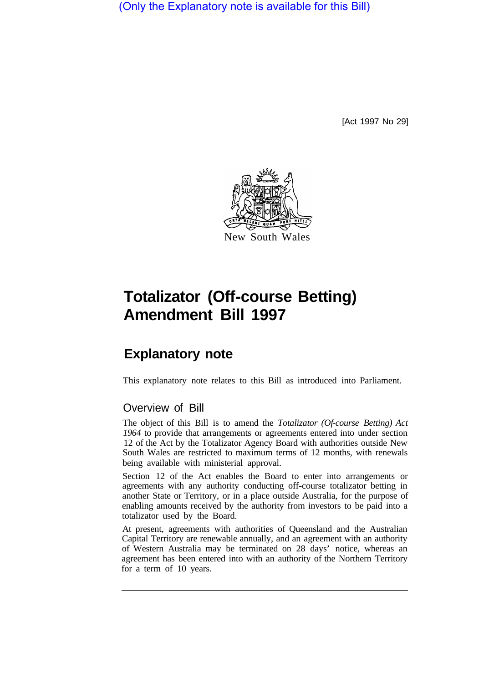(Only the Explanatory note is available for this Bill)

[Act 1997 No 29]



## **Totalizator (Off-course Betting) Amendment Bill 1997**

## **Explanatory note**

This explanatory note relates to this Bill as introduced into Parliament.

## Overview of Bill

The object of this Bill is to amend the *Totalizator (Of-course Betting) Act 1964* to provide that arrangements or agreements entered into under section 12 of the Act by the Totalizator Agency Board with authorities outside New South Wales are restricted to maximum terms of 12 months, with renewals being available with ministerial approval.

Section 12 of the Act enables the Board to enter into arrangements or agreements with any authority conducting off-course totalizator betting in another State or Territory, or in a place outside Australia, for the purpose of enabling amounts received by the authority from investors to be paid into a totalizator used by the Board.

At present, agreements with authorities of Queensland and the Australian Capital Territory are renewable annually, and an agreement with an authority of Western Australia may be terminated on 28 days' notice, whereas an agreement has been entered into with an authority of the Northern Territory for a term of 10 years.